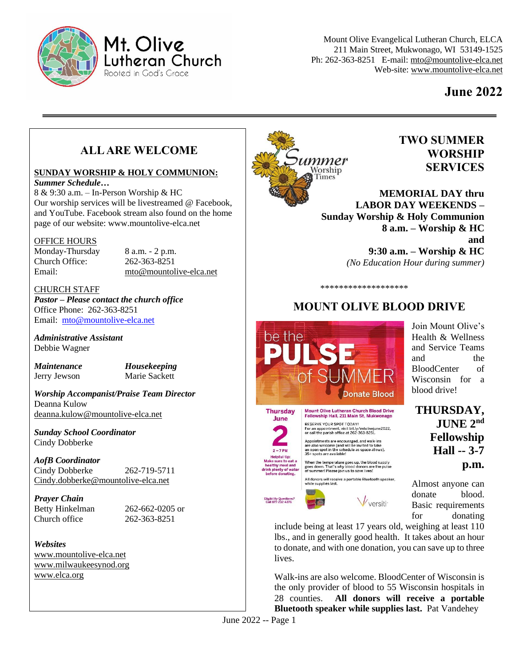

# Mt. Olive utheran Church Rooted in God's Grace

Mount Olive Evangelical Lutheran Church, ELCA 211 Main Street, Mukwonago, WI 53149-1525 Ph: 262-363-8251 E-mail: [mto@mountolive-elca.net](mailto:mto@mountolive-elca.net) Web-site[: www.mountolive-elca.net](http://www.mountolive-elca.net/)

# **June 2022**

# **ALL ARE WELCOME**

#### **SUNDAY WORSHIP & HOLY COMMUNION:**

*Summer Schedule…*

8 & 9:30 a.m. – In-Person Worship & HC Our worship services will be livestreamed @ Facebook, and YouTube. Facebook stream also found on the home page of our website: www.mountolive-elca.net

#### OFFICE HOURS

Monday-Thursday 8 a.m. - 2 p.m. Church Office: 262-363-8251

Email: [mto@mountolive-elca.net](mailto:mto@mountolive-elca.net)

#### CHURCH STAFF

*Pastor – Please contact the church office* Office Phone: 262-363-8251 Email: [mto@mountolive-elca.net](mailto:mto@mountolive-elca.net)

*Administrative Assistant* Debbie Wagner

*Maintenance Housekeeping* Jerry Jewson Marie Sackett

*Worship Accompanist/Praise Team Director* Deanna Kulow [deanna.kulow@mountolive-elca.net](mailto:deanna.kulow@mountolive-elca.net)

*Sunday School Coordinator* Cindy Dobberke

#### *AofB Coordinator*

Cindy Dobberke 262-719-5711 Cindy.dobberke@mountolive-elca.net

#### *Prayer Chain*

Church office 262-363-8251

Betty Hinkelman 262-662-0205 or

*Websites* [www.mountolive-elca.net](http://www.mountolive-elca.net/) [www.milwaukeesynod.org](http://www.milwaukeesynod.org/) [www.elca.org](http://www.elca.org/)



#### **TWO SUMMER WORSHIP SERVICES**

**MEMORIAL DAY thru LABOR DAY WEEKENDS – Sunday Worship & Holy Communion 8 a.m. – Worship & HC and 9:30 a.m. – Worship & HC** *(No Education Hour during summer)*

\*\*\*\*\*\*\*\*\*\*\*\*\*\*\*\*\*\*\*

# **MOUNT OLIVE BLOOD DRIVE**



June

 $2 - 7$  PM **Helpful tip<br>le sure to e** 

Eligibility Questions<br>Call 877-232-4376

ity of wate

Mount Olive Lutheran Church Blood Drive<br>Fellowship Hall, 211 Main St, Mukwonago RESERVE YOUR SPOT TODAY!<br>For an appointment, visit bit.ly/mtolivejune2022,<br>or call the parish office at 262-363-8251.

Appointments are encouraged, and walk-ins<br>are also welcome (and will be invited to take<br>an open spot in the schedule as space allows).<br>35+ spots are available!

When the temperature goes up, the blood supply<br>goes down. That's why blood donors are the pulse<br>of summer! Please join us to save lives!

All donors will receive a portable Bluetooth speaker,<br>while supplies last.

 $\bigvee$ versiti

include being at least 17 years old, weighing at least 110 lbs., and in generally good health. It takes about an hour to donate, and with one donation, you can save up to three lives.

Walk-ins are also welcome. BloodCenter of Wisconsin is the only provider of blood to 55 Wisconsin hospitals in 28 counties. **All donors will receive a portable Bluetooth speaker while supplies last.** Pat Vandehey

June 2022 -- Page 1

Join Mount Olive's Health & Wellness and Service Teams and the BloodCenter of Wisconsin for a blood drive!

**THURSDAY, JUNE 2nd Fellowship Hall -- 3-7 p.m.**

Almost anyone can donate blood. Basic requirements for donating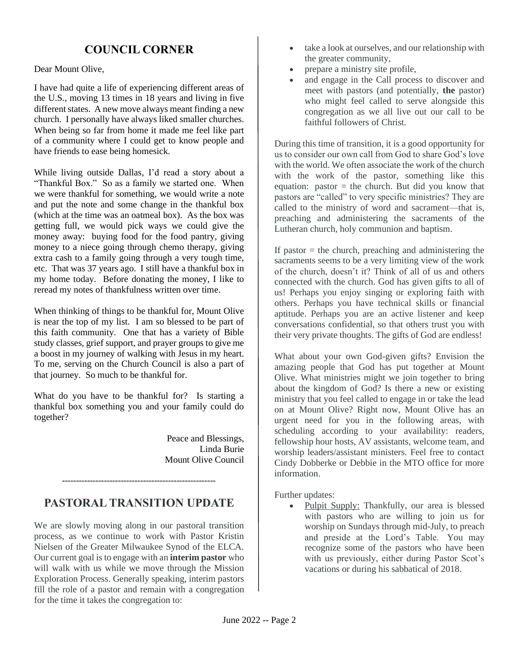# **COUNCIL CORNER**

Dear Mount Olive,

I have had quite a life of experiencing different areas of the U.S., moving 13 times in 18 years and living in five different states. A new move always meant finding a new church. I personally have always liked smaller churches. When being so far from home it made me feel like part of a community where I could get to know people and have friends to ease being homesick.

While living outside Dallas, I'd read a story about a "Thankful Box." So as a family we started one. When we were thankful for something, we would write a note and put the note and some change in the thankful box (which at the time was an oatmeal box). As the box was getting full, we would pick ways we could give the money away: buying food for the food pantry, giving money to a niece going through chemo therapy, giving extra cash to a family going through a very tough time, etc. That was 37 years ago. I still have a thankful box in my home today. Before donating the money, I like to reread my notes of thankfulness written over time.

When thinking of things to be thankful for, Mount Olive is near the top of my list. I am so blessed to be part of this faith community. One that has a variety of Bible study classes, grief support, and prayer groups to give me a boost in my journey of walking with Jesus in my heart. To me, serving on the Church Council is also a part of that journey. So much to be thankful for.

What do you have to be thankful for? Is starting a thankful box something you and your family could do together?

> Peace and Blessings, Linda Burie Mount Olive Council

# **PASTORAL TRANSITION UPDATE**

**-------------------------------------------------------**

We are slowly moving along in our pastoral transition process, as we continue to work with Pastor Kristin Nielsen of the Greater Milwaukee Synod of the ELCA. Our current goal is to engage with an **interim pastor** who will walk with us while we move through the Mission Exploration Process. Generally speaking, interim pastors fill the role of a pastor and remain with a congregation for the time it takes the congregation to:

- take a look at ourselves, and our relationship with the greater community,
- prepare a ministry site profile,
- and engage in the Call process to discover and meet with pastors (and potentially, **the** pastor) who might feel called to serve alongside this congregation as we all live out our call to be faithful followers of Christ.

During this time of transition, it is a good opportunity for us to consider our own call from God to share God's love with the world. We often associate the work of the church with the work of the pastor, something like this equation: pastor  $=$  the church. But did you know that pastors are "called" to very specific ministries? They are called to the ministry of word and sacrament—that is, preaching and administering the sacraments of the Lutheran church, holy communion and baptism.

If pastor  $=$  the church, preaching and administering the sacraments seems to be a very limiting view of the work of the church, doesn't it? Think of all of us and others connected with the church. God has given gifts to all of us! Perhaps you enjoy singing or exploring faith with others. Perhaps you have technical skills or financial aptitude. Perhaps you are an active listener and keep conversations confidential, so that others trust you with their very private thoughts. The gifts of God are endless!

What about your own God-given gifts? Envision the amazing people that God has put together at Mount Olive. What ministries might we join together to bring about the kingdom of God? Is there a new or existing ministry that you feel called to engage in or take the lead on at Mount Olive? Right now, Mount Olive has an urgent need for you in the following areas, with scheduling according to your availability: readers, fellowship hour hosts, AV assistants, welcome team, and worship leaders/assistant ministers. Feel free to contact Cindy Dobberke or Debbie in the MTO office for more information.

Further updates:

• Pulpit Supply: Thankfully, our area is blessed with pastors who are willing to join us for worship on Sundays through mid-July, to preach and preside at the Lord's Table. You may recognize some of the pastors who have been with us previously, either during Pastor Scot's vacations or during his sabbatical of 2018.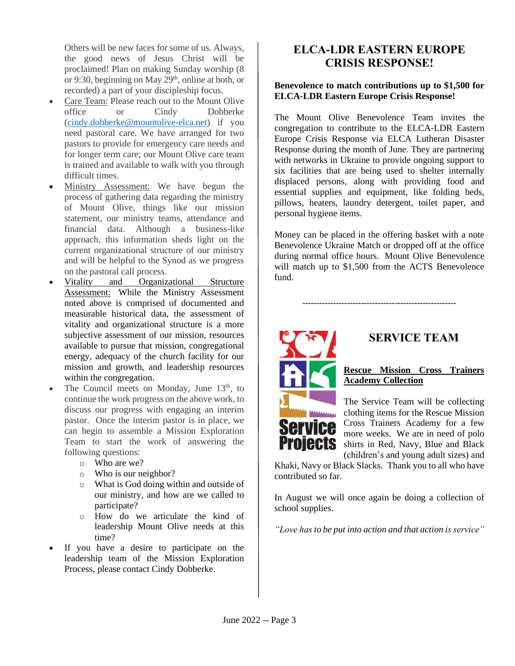Others will be new faces for some of us. Always, the good news of Jesus Christ will be proclaimed! Plan on making Sunday worship (8 or 9:30, beginning on May  $29<sup>th</sup>$ , online at both, or recorded) a part of your discipleship focus.

- Care Team: Please reach out to the Mount Olive office or Cindy Dobberke [\(cindy.dobberke@mountolive-elca.net\)](mailto:cindy.dobberke@mountolive-elca.net) if you need pastoral care. We have arranged for two pastors to provide for emergency care needs and for longer term care; our Mount Olive care team is trained and available to walk with you through difficult times.
- Ministry Assessment: We have begun the process of gathering data regarding the ministry of Mount Olive, things like our mission statement, our ministry teams, attendance and financial data. Although a business-like approach, this information sheds light on the current organizational structure of our ministry and will be helpful to the Synod as we progress on the pastoral call process.
- Vitality and Organizational Structure Assessment: While the Ministry Assessment noted above is comprised of documented and measurable historical data, the assessment of vitality and organizational structure is a more subjective assessment of our mission, resources available to pursue that mission, congregational energy, adequacy of the church facility for our mission and growth, and leadership resources within the congregation.
- The Council meets on Monday, June 13<sup>th</sup>, to continue the work progress on the above work, to discuss our progress with engaging an interim pastor. Once the interim pastor is in place, we can begin to assemble a Mission Exploration Team to start the work of answering the following questions:
	- o Who are we?
	- $\circ$  Who is our neighbor?
	- o What is God doing within and outside of our ministry, and how are we called to participate?
	- o How do we articulate the kind of leadership Mount Olive needs at this time?
- If you have a desire to participate on the leadership team of the Mission Exploration Process, please contact Cindy Dobberke.

## **ELCA-LDR EASTERN EUROPE CRISIS RESPONSE!**

#### **Benevolence to match contributions up to \$1,500 for ELCA-LDR Eastern Europe Crisis Response!**

The Mount Olive Benevolence Team invites the congregation to contribute to the ELCA-LDR Eastern Europe Crisis Response via ELCA Lutheran Disaster Response during the month of June. They are partnering with networks in Ukraine to provide ongoing support to six facilities that are being used to shelter internally displaced persons, along with providing food and essential supplies and equipment, like folding beds, pillows, heaters, laundry detergent, toilet paper, and personal hygiene items.

Money can be placed in the offering basket with a note Benevolence Ukraine Match or dropped off at the office during normal office hours. Mount Olive Benevolence will match up to \$1,500 from the ACTS Benevolence fund.

**-------------------------------------------------------**



## **SERVICE TEAM**

**Rescue Mission Cross Trainers Academy Collection**

The Service Team will be collecting clothing items for the Rescue Mission Cross Trainers Academy for a few more weeks. We are in need of polo shirts in Red, Navy, Blue and Black (children's and young adult sizes) and

Khaki, Navy or Black Slacks. Thank you to all who have contributed so far.

In August we will once again be doing a collection of school supplies.

*"Love has to be put into action and that action is service"*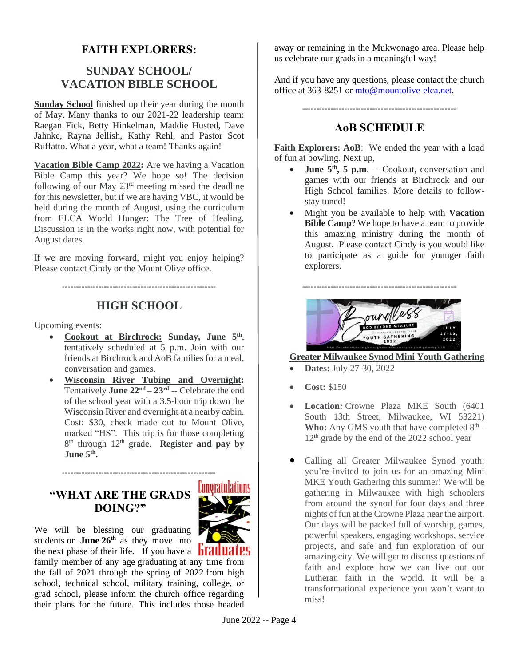## **FAITH EXPLORERS:**

# **SUNDAY SCHOOL/ VACATION BIBLE SCHOOL**

**Sunday School** finished up their year during the month of May. Many thanks to our 2021-22 leadership team: Raegan Fick, Betty Hinkelman, Maddie Husted, Dave Jahnke, Rayna Jellish, Kathy Rehl, and Pastor Scot Ruffatto. What a year, what a team! Thanks again!

**Vacation Bible Camp 2022:** Are we having a Vacation Bible Camp this year? We hope so! The decision following of our May 23rd meeting missed the deadline for this newsletter, but if we are having VBC, it would be held during the month of August, using the curriculum from ELCA World Hunger: The Tree of Healing. Discussion is in the works right now, with potential for August dates.

If we are moving forward, might you enjoy helping? Please contact Cindy or the Mount Olive office.

**-------------------------------------------------------**

# **HIGH SCHOOL**

Upcoming events:

- **Cookout at Birchrock: Sunday, June 5th** , tentatively scheduled at 5 p.m. Join with our friends at Birchrock and AoB families for a meal, conversation and games.
- **Wisconsin River Tubing and Overnight:** Tentatively **June 22nd – 23rd** -- Celebrate the end of the school year with a 3.5-hour trip down the Wisconsin River and overnight at a nearby cabin. Cost: \$30, check made out to Mount Olive, marked "HS". This trip is for those completing 8<sup>th</sup> through 12<sup>th</sup> grade. **Register and pay by June 5 th .**

**-------------------------------------------------------**

## **"WHAT ARE THE GRADS DOING?"**



We will be blessing our graduating students on **June 26th** as they move into the next phase of their life. If you have a  $\frac{1}{2}$  **ITALLIMES** family member of any age graduating at any time from the fall of 2021 through the spring of 2022 from high school, technical school, military training, college, or grad school, please inform the church office regarding their plans for the future. This includes those headed

away or remaining in the Mukwonago area. Please help us celebrate our grads in a meaningful way!

And if you have any questions, please contact the church office at 363-8251 or [mto@mountolive-elca.net.](mailto:mto@mountolive-elca.net)

### **AoB SCHEDULE**

**-------------------------------------------------------**

Faith Explorers: AoB: We ended the year with a load of fun at bowling. Next up,

- **June 5th, 5 p.m**. -- Cookout, conversation and games with our friends at Birchrock and our High School families. More details to followstay tuned!
- Might you be available to help with **Vacation Bible Camp**? We hope to have a team to provide this amazing ministry during the month of August. Please contact Cindy is you would like to participate as a guide for younger faith explorers.



#### **Greater Milwaukee Synod Mini Youth Gathering**

- **Dates:** July 27-30, 2022
- **Cost:** \$150
- **Location:** Crowne Plaza MKE South (6401) South 13th Street, Milwaukee, WI 53221) Who: Any GMS youth that have completed 8<sup>th</sup> -12<sup>th</sup> grade by the end of the 2022 school year
- Calling all Greater Milwaukee Synod youth: you're invited to join us for an amazing Mini MKE Youth Gathering this summer! We will be gathering in Milwaukee with high schoolers from around the synod for four days and three nights of fun at the Crowne Plaza near the airport. Our days will be packed full of worship, games, powerful speakers, engaging workshops, service projects, and safe and fun exploration of our amazing city. We will get to discuss questions of faith and explore how we can live out our Lutheran faith in the world. It will be a transformational experience you won't want to miss!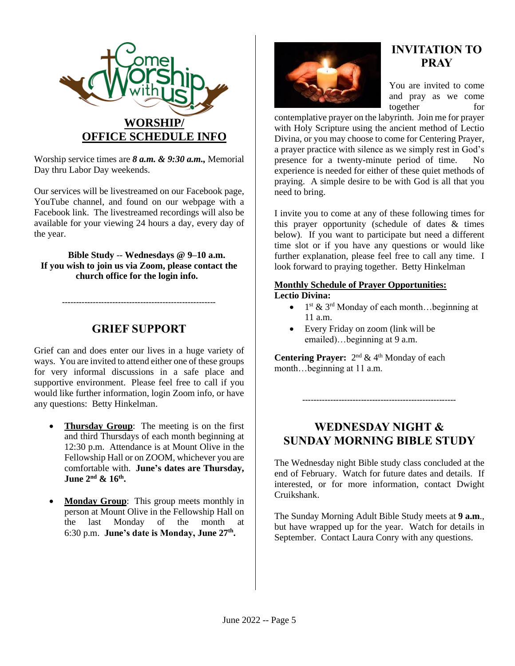

Worship service times are *8 a.m. & 9:30 a.m.,* Memorial Day thru Labor Day weekends.

Our services will be livestreamed on our Facebook page, YouTube channel, and found on our webpage with a Facebook link. The livestreamed recordings will also be available for your viewing 24 hours a day, every day of the year.

#### **Bible Study** -- **Wednesdays @ 9–10 a.m. If you wish to join us via Zoom, please contact the church office for the login info.**

## **GRIEF SUPPORT**

**-------------------------------------------------------**

Grief can and does enter our lives in a huge variety of ways. You are invited to attend either one of these groups for very informal discussions in a safe place and supportive environment. Please feel free to call if you would like further information, login Zoom info, or have any questions: Betty Hinkelman.

- **Thursday Group**: The meeting is on the first and third Thursdays of each month beginning at 12:30 p.m. Attendance is at Mount Olive in the Fellowship Hall or on ZOOM, whichever you are comfortable with. **June's dates are Thursday, June 2nd & 16th .**
- **Monday Group:** This group meets monthly in person at Mount Olive in the Fellowship Hall on the last Monday of the month at 6:30 p.m. **June's date is Monday, June 27th .**



# **INVITATION TO PRAY**

You are invited to come and pray as we come together for

contemplative prayer on the labyrinth. Join me for prayer with Holy Scripture using the ancient method of Lectio Divina, or you may choose to come for Centering Prayer, a prayer practice with silence as we simply rest in God's presence for a twenty-minute period of time. No experience is needed for either of these quiet methods of praying. A simple desire to be with God is all that you need to bring.

I invite you to come at any of these following times for this prayer opportunity (schedule of dates & times below). If you want to participate but need a different time slot or if you have any questions or would like further explanation, please feel free to call any time. I look forward to praying together. Betty Hinkelman

#### **Monthly Schedule of Prayer Opportunities: Lectio Divina:**

- $1^{st}$  &  $3^{rd}$  Monday of each month... beginning at 11 a.m.
- Every Friday on zoom (link will be emailed)…beginning at 9 a.m.

**Centering Prayer:**  $2^{nd} \& 4^{th}$  Monday of each month…beginning at 11 a.m.

**WEDNESDAY NIGHT & SUNDAY MORNING BIBLE STUDY**

**-------------------------------------------------------**

The Wednesday night Bible study class concluded at the end of February. Watch for future dates and details. If interested, or for more information, contact Dwight Cruikshank.

The Sunday Morning Adult Bible Study meets at **9 a.m**., but have wrapped up for the year. Watch for details in September. Contact Laura Conry with any questions.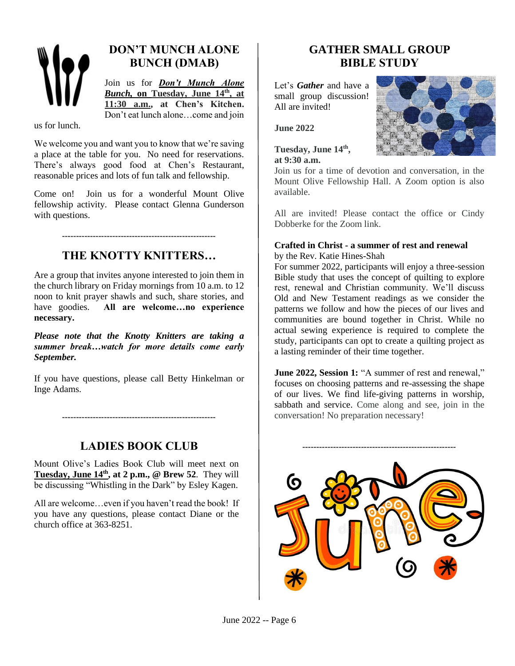

# **DON'T MUNCH ALONE BUNCH (DMAB)**

Join us for *Don't Munch Alone Bunch,* **on Tuesday, June 14th, at 11:30 a.m., at Chen's Kitchen.** Don't eat lunch alone…come and join

us for lunch.

We welcome you and want you to know that we're saving a place at the table for you. No need for reservations. There's always good food at Chen's Restaurant, reasonable prices and lots of fun talk and fellowship.

Come on! Join us for a wonderful Mount Olive fellowship activity. Please contact Glenna Gunderson with questions.

# **THE KNOTTY KNITTERS…**

**-------------------------------------------------------**

Are a group that invites anyone interested to join them in the church library on Friday mornings from 10 a.m. to 12 noon to knit prayer shawls and such, share stories, and have goodies. **All are welcome…no experience necessary.** 

*Please note that the Knotty Knitters are taking a summer break…watch for more details come early September.* 

If you have questions, please call Betty Hinkelman or Inge Adams.

**LADIES BOOK CLUB**

**-------------------------------------------------------**

Mount Olive's Ladies Book Club will meet next on **Tuesday, June 14th, at 2 p.m., @ Brew 52**. They will be discussing "Whistling in the Dark" by Esley Kagen.

All are welcome…even if you haven't read the book! If you have any questions, please contact Diane or the church office at 363-8251.

# **GATHER SMALL GROUP BIBLE STUDY**

Let's *Gather* and have a small group discussion! All are invited!

**June 2022**

**Tuesday, June 14th , at 9:30 a.m.**



Join us for a time of devotion and conversation, in the Mount Olive Fellowship Hall. A Zoom option is also available.

All are invited! Please contact the office or Cindy Dobberke for the Zoom link.

#### **Crafted in Christ - a summer of rest and renewal** by the Rev. Katie Hines-Shah

For summer 2022, participants will enjoy a three-session Bible study that uses the concept of quilting to explore rest, renewal and Christian community. We'll discuss Old and New Testament readings as we consider the patterns we follow and how the pieces of our lives and communities are bound together in Christ. While no actual sewing experience is required to complete the study, participants can opt to create a quilting project as a lasting reminder of their time together.

**June 2022, Session 1:** "A summer of rest and renewal," focuses on choosing patterns and re-assessing the shape of our lives. We find life-giving patterns in worship, sabbath and service. Come along and see, join in the conversation! No preparation necessary!

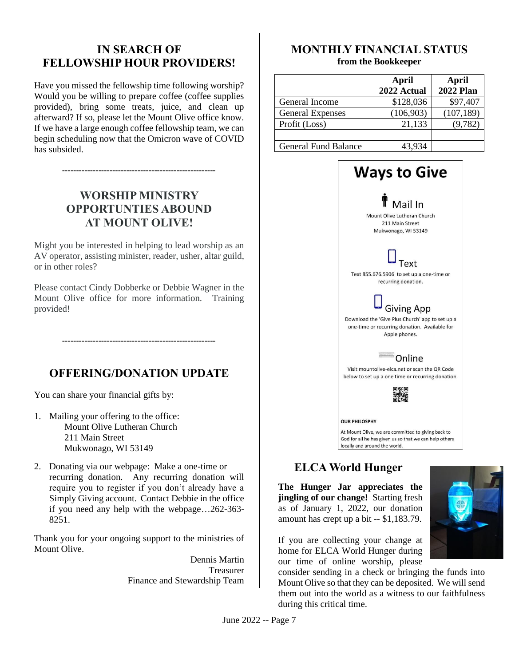## **IN SEARCH OF FELLOWSHIP HOUR PROVIDERS!**

Have you missed the fellowship time following worship? Would you be willing to prepare coffee (coffee supplies provided), bring some treats, juice, and clean up afterward? If so, please let the Mount Olive office know. If we have a large enough coffee fellowship team, we can begin scheduling now that the Omicron wave of COVID has subsided.

# **WORSHIP MINISTRY OPPORTUNTIES ABOUND AT MOUNT OLIVE!**

**-------------------------------------------------------**

Might you be interested in helping to lead worship as an AV operator, assisting minister, reader, usher, altar guild, or in other roles?

Please contact Cindy Dobberke or Debbie Wagner in the Mount Olive office for more information. Training provided!

# **OFFERING/DONATION UPDATE**

**-------------------------------------------------------**

You can share your financial gifts by:

- 1. Mailing your offering to the office: Mount Olive Lutheran Church 211 Main Street Mukwonago, WI 53149
- 2. Donating via our webpage: Make a one-time or recurring donation. Any recurring donation will require you to register if you don't already have a Simply Giving account. Contact Debbie in the office if you need any help with the webpage…262-363- 8251.

Thank you for your ongoing support to the ministries of Mount Olive.

> Dennis Martin Treasurer Finance and Stewardship Team

#### **MONTHLY FINANCIAL STATUS from the Bookkeeper**

|                             | April<br>2022 Actual | April<br><b>2022 Plan</b> |
|-----------------------------|----------------------|---------------------------|
| General Income              | \$128,036            | \$97,407                  |
| <b>General Expenses</b>     | (106, 903)           | (107, 189)                |
| Profit (Loss)               | 21,133               | (9, 782)                  |
|                             |                      |                           |
| <b>General Fund Balance</b> | 43,934               |                           |



## **ELCA World Hunger**

**The Hunger Jar appreciates the jingling of our change!** Starting fresh as of January 1, 2022, our donation amount has crept up a bit -- \$1,183.79.

If you are collecting your change at home for ELCA World Hunger during our time of online worship, please

consider sending in a check or bringing the funds into Mount Olive so that they can be deposited. We will send them out into the world as a witness to our faithfulness during this critical time.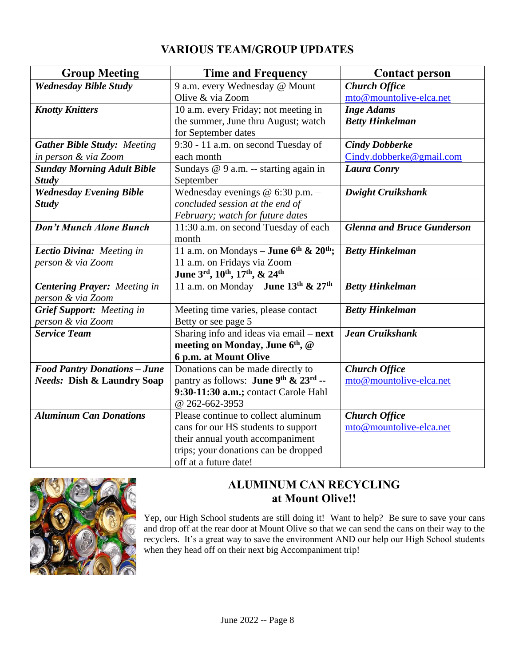# **VARIOUS TEAM/GROUP UPDATES**

| <b>Group Meeting</b>                  | <b>Time and Frequency</b>                        | <b>Contact person</b>             |  |
|---------------------------------------|--------------------------------------------------|-----------------------------------|--|
| <b>Wednesday Bible Study</b>          | 9 a.m. every Wednesday @ Mount                   | <b>Church Office</b>              |  |
|                                       | Olive & via Zoom                                 | mto@mountolive-elca.net           |  |
| <b>Knotty Knitters</b>                | 10 a.m. every Friday; not meeting in             | <b>Inge Adams</b>                 |  |
|                                       | the summer, June thru August; watch              | <b>Betty Hinkelman</b>            |  |
|                                       | for September dates                              |                                   |  |
| <b>Gather Bible Study: Meeting</b>    | 9:30 - 11 a.m. on second Tuesday of              | <b>Cindy Dobberke</b>             |  |
| in person & via Zoom                  | each month                                       | Cindy.dobberke@gmail.com          |  |
| <b>Sunday Morning Adult Bible</b>     | Sundays @ 9 a.m. -- starting again in            | <b>Laura Conry</b>                |  |
| <b>Study</b>                          | September                                        |                                   |  |
| <b>Wednesday Evening Bible</b>        | Wednesday evenings $@$ 6:30 p.m. $-$             | <b>Dwight Cruikshank</b>          |  |
| <b>Study</b>                          | concluded session at the end of                  |                                   |  |
|                                       | February; watch for future dates                 |                                   |  |
| Don't Munch Alone Bunch               | 11:30 a.m. on second Tuesday of each             | <b>Glenna and Bruce Gunderson</b> |  |
|                                       | month                                            |                                   |  |
| Lectio Divina: Meeting in             | 11 a.m. on Mondays – June $6^{th}$ & $20^{th}$ ; | <b>Betty Hinkelman</b>            |  |
| person & via Zoom                     | 11 a.m. on Fridays via Zoom -                    |                                   |  |
|                                       | June 3rd, 10th, 17th, & 24th                     |                                   |  |
| <b>Centering Prayer:</b> Meeting in   | 11 a.m. on Monday – June $13^{th}$ & $27^{th}$   | <b>Betty Hinkelman</b>            |  |
| person & via Zoom                     |                                                  |                                   |  |
| <b>Grief Support:</b> Meeting in      | Meeting time varies, please contact              | <b>Betty Hinkelman</b>            |  |
| person & via Zoom                     | Betty or see page 5                              |                                   |  |
| <b>Service Team</b>                   | Sharing info and ideas via email - next          | <b>Jean Cruikshank</b>            |  |
|                                       | meeting on Monday, June 6th, @                   |                                   |  |
|                                       | 6 p.m. at Mount Olive                            |                                   |  |
| <b>Food Pantry Donations - June</b>   | Donations can be made directly to                | <b>Church Office</b>              |  |
| <b>Needs: Dish &amp; Laundry Soap</b> | pantry as follows: <b>June 9th &amp; 23rd --</b> | mto@mountolive-elca.net           |  |
|                                       | 9:30-11:30 a.m.; contact Carole Hahl             |                                   |  |
|                                       | @ 262-662-3953                                   |                                   |  |
| <b>Aluminum Can Donations</b>         | Please continue to collect aluminum              | <b>Church Office</b>              |  |
|                                       | cans for our HS students to support              | mto@mountolive-elca.net           |  |
|                                       | their annual youth accompaniment                 |                                   |  |
|                                       | trips; your donations can be dropped             |                                   |  |
|                                       | off at a future date!                            |                                   |  |



# **ALUMINUM CAN RECYCLING at Mount Olive!!**

Yep, our High School students are still doing it! Want to help? Be sure to save your cans and drop off at the rear door at Mount Olive so that we can send the cans on their way to the recyclers. It's a great way to save the environment AND our help our High School students when they head off on their next big Accompaniment trip!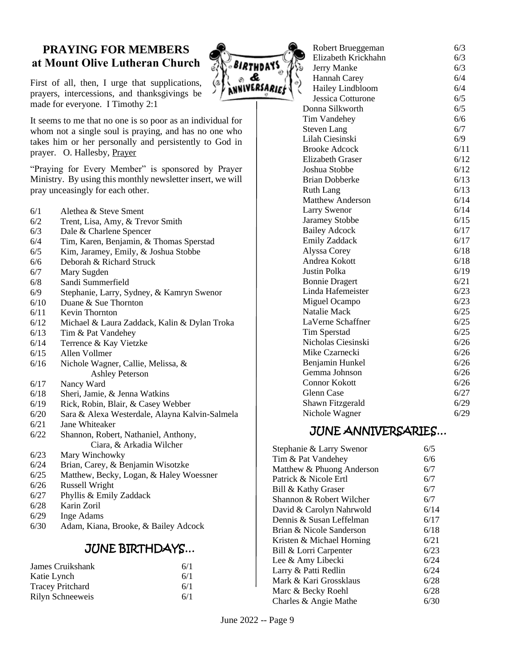## **PRAYING FOR MEMBERS at Mount Olive Lutheran Church**

First of all, then, I urge that supplications, prayers, intercessions, and thanksgivings be made for everyone. I Timothy 2:1

It seems to me that no one is so poor as an individual for whom not a single soul is praying, and has no one who takes him or her personally and persistently to God in prayer. O. Hallesby, Prayer

"Praying for Every Member" is sponsored by Prayer Ministry. By using this monthly newsletter insert, we will pray unceasingly for each other.

- 6/1 Alethea & Steve Sment
- 6/2 Trent, Lisa, Amy, & Trevor Smith
- 6/3 Dale & Charlene Spencer
- 6/4 Tim, Karen, Benjamin, & Thomas Sperstad
- 6/5 Kim, Jaramey, Emily, & Joshua Stobbe
- 6/6 Deborah & Richard Struck
- 6/7 Mary Sugden
- 6/8 Sandi Summerfield
- 6/9 Stephanie, Larry, Sydney, & Kamryn Swenor
- 6/10 Duane & Sue Thornton
- 6/11 Kevin Thornton
- 6/12 Michael & Laura Zaddack, Kalin & Dylan Troka
- 6/13 Tim & Pat Vandehey
- 6/14 Terrence & Kay Vietzke
- 6/15 Allen Vollmer
- 6/16 Nichole Wagner, Callie, Melissa, & Ashley Peterson
- 6/17 Nancy Ward
- 6/18 Sheri, Jamie, & Jenna Watkins
- 6/19 Rick, Robin, Blair, & Casey Webber
- 6/20 Sara & Alexa Westerdale, Alayna Kalvin-Salmela
- 6/21 Jane Whiteaker
- 6/22 Shannon, Robert, Nathaniel, Anthony, Ciara, & Arkadia Wilcher
- 6/23 Mary Winchowky
- 6/24 Brian, Carey, & Benjamin Wisotzke
- 6/25 Matthew, Becky, Logan, & Haley Woessner
- 6/26 Russell Wright
- 6/27 Phyllis & Emily Zaddack
- 6/28 Karin Zoril
- 6/29 Inge Adams
- 6/30 Adam, Kiana, Brooke, & Bailey Adcock

## JUNE BIRTHDAYS…

| James Cruikshank        | 6/1 |
|-------------------------|-----|
| Katie Lynch             | 6/1 |
| <b>Tracey Pritchard</b> | 6/1 |
| Rilyn Schneeweis        | 6/1 |

| <i>'IRT</i> HDA'  |
|-------------------|
|                   |
| <b>UIVERSARIE</b> |
|                   |

|   | - 55-                   |      |
|---|-------------------------|------|
| J | Elizabeth Krickhahn     | 6/3  |
| ï | Jerry Manke             | 6/3  |
|   | Hannah Carey            | 6/4  |
|   | Hailey Lindbloom        | 6/4  |
|   | Jessica Cotturone       | 6/5  |
|   | Donna Silkworth         | 6/5  |
|   | Tim Vandehey            | 6/6  |
|   | <b>Steven Lang</b>      | 6/7  |
|   | Lilah Ciesinski         | 6/9  |
|   | <b>Brooke Adcock</b>    | 6/11 |
|   | <b>Elizabeth Graser</b> | 6/12 |
|   | Joshua Stobbe           | 6/12 |
|   | <b>Brian Dobberke</b>   | 6/13 |
|   | <b>Ruth Lang</b>        | 6/13 |
|   | <b>Matthew Anderson</b> | 6/14 |
|   | <b>Larry Swenor</b>     | 6/14 |
|   | <b>Jaramey Stobbe</b>   | 6/15 |
|   | <b>Bailey Adcock</b>    | 6/17 |
|   | <b>Emily Zaddack</b>    | 6/17 |
|   | Alyssa Corey            | 6/18 |
|   | Andrea Kokott           | 6/18 |
|   | Justin Polka            | 6/19 |
|   | <b>Bonnie Dragert</b>   | 6/21 |
|   | Linda Hafemeister       | 6/23 |
|   | Miguel Ocampo           | 6/23 |
|   | Natalie Mack            | 6/25 |
|   | LaVerne Schaffner       | 6/25 |
|   | <b>Tim Sperstad</b>     | 6/25 |
|   | Nicholas Ciesinski      | 6/26 |
|   | Mike Czarnecki          | 6/26 |
|   | Benjamin Hunkel         | 6/26 |
|   | Gemma Johnson           | 6/26 |
|   | <b>Connor Kokott</b>    | 6/26 |
|   | <b>Glenn</b> Case       | 6/27 |
|   | Shawn Fitzgerald        | 6/29 |
|   | Nichole Wagner          | 6/29 |
|   |                         |      |

Robert Brueggeman 6/3

### JUNE ANNIVERSARIES…

| Stephanie & Larry Swenor  | 6/5  |
|---------------------------|------|
| Tim & Pat Vandehey        | 6/6  |
| Matthew & Phuong Anderson | 6/7  |
| Patrick & Nicole Ertl     | 6/7  |
| Bill & Kathy Graser       | 6/7  |
| Shannon & Robert Wilcher  | 6/7  |
| David & Carolyn Nahrwold  | 6/14 |
| Dennis & Susan Leffelman  | 6/17 |
| Brian & Nicole Sanderson  | 6/18 |
| Kristen & Michael Horning | 6/21 |
| Bill & Lorri Carpenter    | 6/23 |
| Lee & Amy Libecki         | 6/24 |
| Larry & Patti Redlin      | 6/24 |
| Mark & Kari Grossklaus    | 6/28 |
| Marc & Becky Roehl        | 6/28 |
| Charles & Angie Mathe     | 6/30 |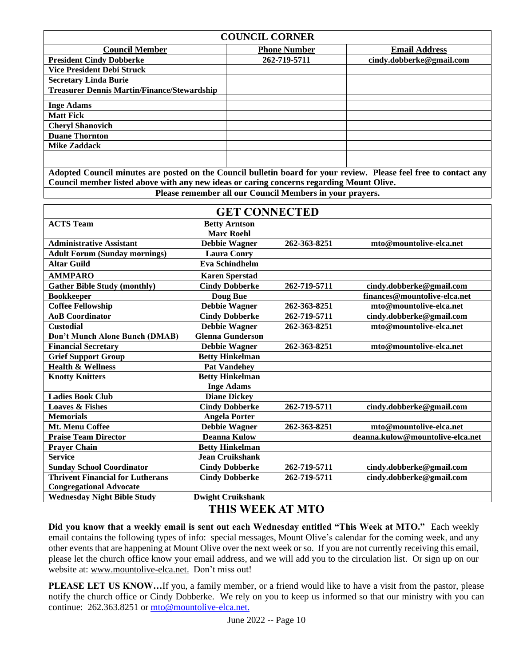| <b>COUNCIL CORNER</b>                              |                     |                          |  |  |
|----------------------------------------------------|---------------------|--------------------------|--|--|
| <b>Council Member</b>                              | <b>Phone Number</b> | <b>Email Address</b>     |  |  |
| <b>President Cindy Dobberke</b>                    | 262-719-5711        | cindy.dobberke@gmail.com |  |  |
| <b>Vice President Debi Struck</b>                  |                     |                          |  |  |
| <b>Secretary Linda Burie</b>                       |                     |                          |  |  |
| <b>Treasurer Dennis Martin/Finance/Stewardship</b> |                     |                          |  |  |
|                                                    |                     |                          |  |  |
| <b>Inge Adams</b>                                  |                     |                          |  |  |
| <b>Matt Fick</b>                                   |                     |                          |  |  |
| <b>Cheryl Shanovich</b>                            |                     |                          |  |  |
| <b>Duane Thornton</b>                              |                     |                          |  |  |
| <b>Mike Zaddack</b>                                |                     |                          |  |  |
|                                                    |                     |                          |  |  |
|                                                    |                     |                          |  |  |

**Adopted Council minutes are posted on the Council bulletin board for your review. Please feel free to contact any Council member listed above with any new ideas or caring concerns regarding Mount Olive.** 

**Please remember all our Council Members in your prayers.**

| <b>GET CONNECTED</b>                    |                                           |              |                                  |  |
|-----------------------------------------|-------------------------------------------|--------------|----------------------------------|--|
| <b>ACTS Team</b>                        | <b>Betty Arntson</b><br><b>Marc Roehl</b> |              |                                  |  |
| <b>Administrative Assistant</b>         | <b>Debbie Wagner</b>                      | 262-363-8251 | mto@mountolive-elca.net          |  |
| <b>Adult Forum (Sunday mornings)</b>    | <b>Laura Conry</b>                        |              |                                  |  |
| <b>Altar Guild</b>                      | <b>Eva Schindhelm</b>                     |              |                                  |  |
| <b>AMMPARO</b>                          | <b>Karen Sperstad</b>                     |              |                                  |  |
| <b>Gather Bible Study (monthly)</b>     | <b>Cindy Dobberke</b>                     | 262-719-5711 | cindy.dobberke@gmail.com         |  |
| <b>Bookkeeper</b>                       | Doug Bue                                  |              | finances@mountolive-elca.net     |  |
| <b>Coffee Fellowship</b>                | <b>Debbie Wagner</b>                      | 262-363-8251 | mto@mountolive-elca.net          |  |
| <b>AoB</b> Coordinator                  | <b>Cindy Dobberke</b>                     | 262-719-5711 | cindy.dobberke@gmail.com         |  |
| <b>Custodial</b>                        | <b>Debbie Wagner</b>                      | 262-363-8251 | mto@mountolive-elca.net          |  |
| Don't Munch Alone Bunch (DMAB)          | <b>Glenna Gunderson</b>                   |              |                                  |  |
| <b>Financial Secretary</b>              | <b>Debbie Wagner</b>                      | 262-363-8251 | mto@mountolive-elca.net          |  |
| <b>Grief Support Group</b>              | <b>Betty Hinkelman</b>                    |              |                                  |  |
| <b>Health &amp; Wellness</b>            | <b>Pat Vandehey</b>                       |              |                                  |  |
| <b>Knotty Knitters</b>                  | <b>Betty Hinkelman</b>                    |              |                                  |  |
|                                         | <b>Inge Adams</b>                         |              |                                  |  |
| <b>Ladies Book Club</b>                 | <b>Diane Dickey</b>                       |              |                                  |  |
| <b>Loaves &amp; Fishes</b>              | <b>Cindy Dobberke</b>                     | 262-719-5711 | cindy.dobberke@gmail.com         |  |
| <b>Memorials</b>                        | <b>Angela Porter</b>                      |              |                                  |  |
| Mt. Menu Coffee                         | <b>Debbie Wagner</b>                      | 262-363-8251 | mto@mountolive-elca.net          |  |
| <b>Praise Team Director</b>             | <b>Deanna Kulow</b>                       |              | deanna.kulow@mountolive-elca.net |  |
| <b>Prayer Chain</b>                     | <b>Betty Hinkelman</b>                    |              |                                  |  |
| <b>Service</b>                          | <b>Jean Cruikshank</b>                    |              |                                  |  |
| <b>Sunday School Coordinator</b>        | <b>Cindy Dobberke</b>                     | 262-719-5711 | cindy.dobberke@gmail.com         |  |
| <b>Thrivent Financial for Lutherans</b> | <b>Cindy Dobberke</b>                     | 262-719-5711 | cindy.dobberke@gmail.com         |  |
| <b>Congregational Advocate</b>          |                                           |              |                                  |  |
| <b>Wednesday Night Bible Study</b>      | <b>Dwight Cruikshank</b>                  |              |                                  |  |

### **THIS WEEK AT MTO**

**Did you know that a weekly email is sent out each Wednesday entitled "This Week at MTO."** Each weekly email contains the following types of info: special messages, Mount Olive's calendar for the coming week, and any other events that are happening at Mount Olive over the next week or so. If you are not currently receiving this email, please let the church office know your email address, and we will add you to the circulation list. Or sign up on our website at[: www.mountolive-elca.net.](http://www.mountolive-elca.net/) Don't miss out!

**PLEASE LET US KNOW...**If you, a family member, or a friend would like to have a visit from the pastor, please notify the church office or Cindy Dobberke. We rely on you to keep us informed so that our ministry with you can continue: 262.363.8251 or [mto@mountolive-elca.net.](mailto:mto@mountolive-elca.net)